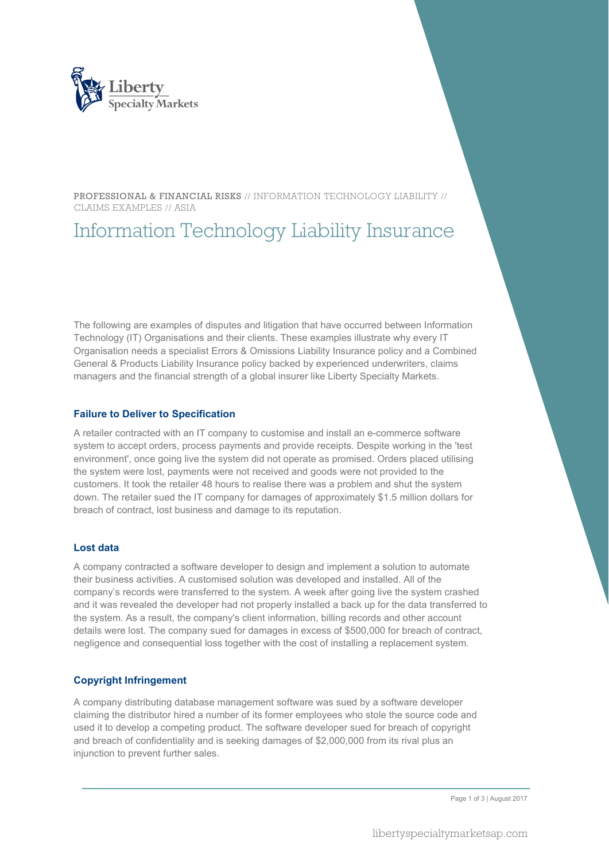

PROFESSIONAL & FINANCIAL RISKS // INFORMATION TECHNOLOGY LIABILITY // CLAIMS EXAMPLES // ASIA

# Information Technology Liability Insurance

The following are examples of disputes and litigation that have occurred between Information Technology (IT) Organisations and their clients. These examples illustrate why every IT Organisation needs a specialist Errors & Omissions Liability Insurance policy and a Combined General & Products Liability Insurance policy backed by experienced underwriters, claims managers and the financial strength of a global insurer like Liberty Specialty Markets.

#### **Failure to Deliver to Specification**

A retailer contracted with an IT company to customise and install an e-commerce software system to accept orders, process payments and provide receipts. Despite working in the 'test environment', once going live the system did not operate as promised. Orders placed utilising the system were lost, payments were not received and goods were not provided to the customers. It took the retailer 48 hours to realise there was a problem and shut the system down. The retailer sued the IT company for damages of approximately \$1.5 million dollars for breach of contract, lost business and damage to its reputation.

#### **Lost data**

A company contracted a software developer to design and implement a solution to automate their business activities. A customised solution was developed and installed. All of the company's records were transferred to the system. A week after going live the system crashed and it was revealed the developer had not properly installed a back up for the data transferred to the system. As a result, the company's client information, billing records and other account details were lost. The company sued for damages in excess of \$500,000 for breach of contract, negligence and consequential loss together with the cost of installing a replacement system.

#### **Copyright Infringement**

A company distributing database management software was sued by a software developer claiming the distributor hired a number of its former employees who stole the source code and used it to develop a competing product. The software developer sued for breach of copyright and breach of confidentiality and is seeking damages of \$2,000,000 from its rival plus an injunction to prevent further sales.

Page 1 of 3 | August 2017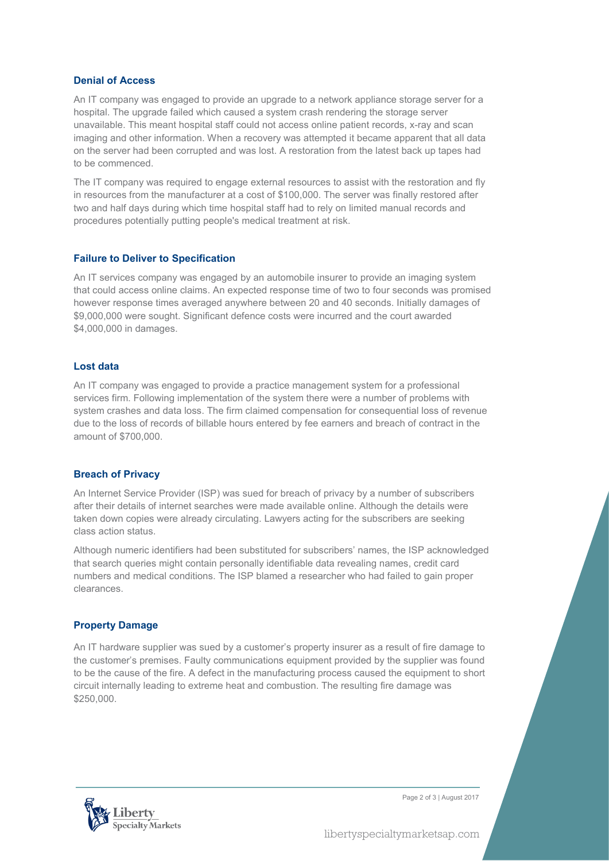#### **Denial of Access**

An IT company was engaged to provide an upgrade to a network appliance storage server for a hospital. The upgrade failed which caused a system crash rendering the storage server unavailable. This meant hospital staff could not access online patient records, x-ray and scan imaging and other information. When a recovery was attempted it became apparent that all data on the server had been corrupted and was lost. A restoration from the latest back up tapes had to be commenced.

The IT company was required to engage external resources to assist with the restoration and fly in resources from the manufacturer at a cost of \$100,000. The server was finally restored after two and half days during which time hospital staff had to rely on limited manual records and procedures potentially putting people's medical treatment at risk.

#### **Failure to Deliver to Specification**

An IT services company was engaged by an automobile insurer to provide an imaging system that could access online claims. An expected response time of two to four seconds was promised however response times averaged anywhere between 20 and 40 seconds. Initially damages of \$9,000,000 were sought. Significant defence costs were incurred and the court awarded \$4,000,000 in damages.

#### **Lost data**

An IT company was engaged to provide a practice management system for a professional services firm. Following implementation of the system there were a number of problems with system crashes and data loss. The firm claimed compensation for consequential loss of revenue due to the loss of records of billable hours entered by fee earners and breach of contract in the amount of \$700,000.

#### **Breach of Privacy**

An Internet Service Provider (ISP) was sued for breach of privacy by a number of subscribers after their details of internet searches were made available online. Although the details were taken down copies were already circulating. Lawyers acting for the subscribers are seeking class action status.

Although numeric identifiers had been substituted for subscribers' names, the ISP acknowledged that search queries might contain personally identifiable data revealing names, credit card numbers and medical conditions. The ISP blamed a researcher who had failed to gain proper clearances.

#### **Property Damage**

An IT hardware supplier was sued by a customer's property insurer as a result of fire damage to the customer's premises. Faulty communications equipment provided by the supplier was found to be the cause of the fire. A defect in the manufacturing process caused the equipment to short circuit internally leading to extreme heat and combustion. The resulting fire damage was \$250,000.



Page 2 of 3 | August 2017